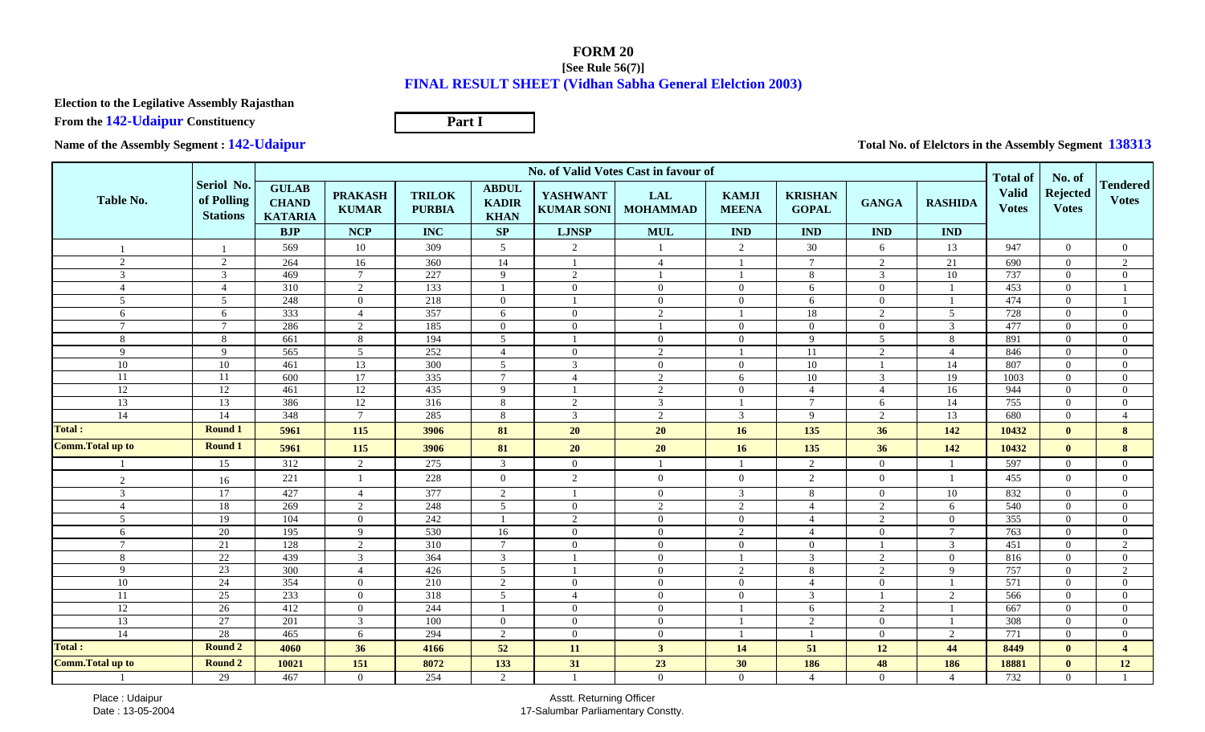## **FORM 20 [See Rule 56(7)]FINAL RESULT SHEET (Vidhan Sabha General Elelction 2003)**

**Election to the Legilative Assembly Rajasthan**

**From the 142-Udaipur Constituency**

**Part I**

**Name of the Assembly Segment : 142-Udaipur**

**Total No. of Elelctors in the Assembly Segment 138313**

|                          |                                             | No. of Valid Votes Cast in favour of           |                                |                                |                                             |                                      |                               |                              |                                |                 |                |                                                 | No. of                          |                                 |
|--------------------------|---------------------------------------------|------------------------------------------------|--------------------------------|--------------------------------|---------------------------------------------|--------------------------------------|-------------------------------|------------------------------|--------------------------------|-----------------|----------------|-------------------------------------------------|---------------------------------|---------------------------------|
| <b>Table No.</b>         | Seriol No.<br>of Polling<br><b>Stations</b> | <b>GULAB</b><br><b>CHAND</b><br><b>KATARIA</b> | <b>PRAKASH</b><br><b>KUMAR</b> | <b>TRILOK</b><br><b>PURBIA</b> | <b>ABDUL</b><br><b>KADIR</b><br><b>KHAN</b> | <b>YASHWANT</b><br><b>KUMAR SONI</b> | <b>LAL</b><br><b>MOHAMMAD</b> | <b>KAMJI</b><br><b>MEENA</b> | <b>KRISHAN</b><br><b>GOPAL</b> | <b>GANGA</b>    | <b>RASHIDA</b> | <b>Total of</b><br><b>Valid</b><br><b>Votes</b> | <b>Rejected</b><br><b>Votes</b> | <b>Tendered</b><br><b>Votes</b> |
|                          |                                             | BJP                                            | <b>NCP</b>                     | <b>INC</b>                     | SP                                          | <b>LJNSP</b>                         | <b>MUL</b>                    | <b>IND</b>                   | <b>IND</b>                     | <b>IND</b>      | <b>IND</b>     |                                                 |                                 |                                 |
|                          |                                             | 569                                            | 10                             | 309                            | $5\overline{)}$                             | 2                                    | $\mathbf{1}$                  | 2                            | 30                             | 6               | 13             | 947                                             | $\Omega$                        | $\Omega$                        |
| 2                        | 2                                           | 264                                            | 16                             | 360                            | 14                                          |                                      | $\overline{4}$                |                              | $7\phantom{.0}$                | $\overline{2}$  | 21             | 690                                             | $\Omega$                        | 2                               |
| 3                        | 3                                           | 469                                            | $7\phantom{.0}$                | 227                            | 9                                           | 2                                    |                               |                              | 8                              | 3               | 10             | 737                                             | $\Omega$                        | $\theta$                        |
| $\overline{4}$           | $\overline{4}$                              | 310                                            | 2                              | 133                            | - 1                                         | $\overline{0}$                       | $\overline{0}$                | $\overline{0}$               | 6                              | $\overline{0}$  |                | 453                                             | $\Omega$                        |                                 |
| 5                        | 5                                           | 248                                            | $\overline{0}$                 | 218                            | $\overline{0}$                              |                                      | $\mathbf{0}$                  | $\overline{0}$               | 6                              | $\overline{0}$  |                | 474                                             | $\overline{0}$                  |                                 |
| 6                        | 6                                           | 333                                            | $\overline{4}$                 | 357                            | 6                                           | $\theta$                             | 2                             |                              | 18                             | 2               | 5 <sup>5</sup> | 728                                             | $\Omega$                        | $\Omega$                        |
| $7\phantom{.0}$          | $\overline{7}$                              | 286                                            | 2                              | 185                            | $\overline{0}$                              | $\Omega$                             | $\overline{1}$                | $\overline{0}$               | $\Omega$                       | $\overline{0}$  | 3              | 477                                             | $\Omega$                        | $\Omega$                        |
| 8                        | $8\,$                                       | 661                                            | $8\,$                          | 194                            | $\overline{5}$                              |                                      | $\mathbf{0}$                  | $\overline{0}$               | 9                              | $5\overline{)}$ | 8              | 891                                             | $\Omega$                        | $\Omega$                        |
| -9                       | 9                                           | 565                                            | 5                              | 252                            | $\overline{4}$                              | $\overline{0}$                       | 2                             |                              | 11                             | 2               | $\overline{4}$ | 846                                             | $\Omega$                        | $\Omega$                        |
| $10\,$                   | $10\,$                                      | 461                                            | 13                             | 300                            | $5\phantom{.0}$                             | 3                                    | $\overline{0}$                | $\overline{0}$               | $10\,$                         | -1              | 14             | 807                                             | $\overline{0}$                  | $\overline{0}$                  |
| 11                       | 11                                          | 600                                            | 17                             | 335                            | $7\phantom{.0}$                             | $\boldsymbol{\Lambda}$               | 2                             | 6                            | 10                             | $\mathfrak{Z}$  | 19             | 1003                                            | $\Omega$                        | $\Omega$                        |
| 12                       | 12                                          | 461                                            | 12                             | 435                            | 9                                           |                                      | 2                             | $\Omega$                     | $\overline{4}$                 | $\overline{4}$  | 16             | 944                                             | $\Omega$                        | $\Omega$                        |
| 13                       | 13                                          | 386                                            | 12                             | 316                            | 8                                           | 2                                    | $\overline{3}$                |                              | $\overline{7}$                 | 6               | 14             | 755                                             | $\overline{0}$                  | $\Omega$                        |
| 14                       | 14                                          | 348                                            | $7\phantom{.0}$                | 285                            | 8                                           | 3                                    | 2                             | 3                            | -9                             | 2               | 13             | 680                                             | $\Omega$                        | $\overline{4}$                  |
| <b>Total:</b>            | <b>Round 1</b>                              | 5961                                           | 115                            | 3906                           | 81                                          | 20                                   | 20                            | 16                           | 135                            | 36              | 142            | 10432                                           | $\mathbf{0}$                    | 8                               |
| <b>Comm. Total up to</b> | <b>Round 1</b>                              | 5961                                           | 115                            | 3906                           | 81                                          | 20                                   | <b>20</b>                     | 16                           | 135                            | 36              | 142            | 10432                                           | $\mathbf{0}$                    | 8                               |
|                          | 15                                          | 312                                            | 2                              | 275                            | $\mathbf{3}$                                | $\overline{0}$                       | $\mathbf{1}$                  |                              | $\overline{2}$                 | $\overline{0}$  |                | 597                                             | $\Omega$                        | $\Omega$                        |
| 2                        | 16                                          | 221                                            | $\overline{1}$                 | 228                            | $\mathbf{0}$                                | 2                                    | $\mathbf{0}$                  | $\Omega$                     | 2                              | $\overline{0}$  |                | 455                                             | $\theta$                        | $\Omega$                        |
| 3                        | 17                                          | 427                                            | $\overline{4}$                 | 377                            | 2                                           |                                      | $\overline{0}$                | 3                            | 8                              | $\overline{0}$  | 10             | 832                                             | $\Omega$                        | $\Omega$                        |
| $\overline{4}$           | 18                                          | 269                                            | $\overline{2}$                 | 248                            | $\overline{5}$                              | $\overline{0}$                       | 2                             | 2                            | $\overline{4}$                 | $\overline{c}$  | 6              | 540                                             | $\Omega$                        | $\Omega$                        |
| 5                        | 19                                          | 104                                            | $\overline{0}$                 | 242                            |                                             | 2                                    | $\mathbf{0}$                  | $\overline{0}$               | $\overline{4}$                 | $\overline{2}$  | $\overline{0}$ | 355                                             | $\Omega$                        | $\Omega$                        |
| 6                        | 20                                          | 195                                            | 9                              | 530                            | $\overline{16}$                             | $\overline{0}$                       | $\mathbf{0}$                  | 2                            | $\overline{4}$                 | $\overline{0}$  | $\tau$         | 763                                             | $\overline{0}$                  | $\overline{0}$                  |
| $\overline{7}$           | 21                                          | 128                                            | 2                              | 310                            | $\overline{7}$                              | $\Omega$                             | $\overline{0}$                | $\Omega$                     | $\overline{0}$                 |                 | $\mathcal{E}$  | 451                                             | $\Omega$                        | $\mathcal{L}$                   |
| 8                        | 22                                          | 439                                            | $\mathfrak{Z}$                 | 364                            | $\overline{3}$                              |                                      | $\mathbf{0}$                  |                              | $\overline{3}$                 | $\overline{2}$  | $\Omega$       | 816                                             | $\Omega$                        | $\Omega$                        |
| 9                        | 23                                          | 300                                            | $\overline{4}$                 | 426                            | $5\phantom{.0}$                             |                                      | $\overline{0}$                | 2                            | 8                              | 2               | 9              | 757                                             | $\Omega$                        | 2                               |
| 10                       | 24                                          | 354                                            | $\Omega$                       | 210                            | 2                                           | $\overline{0}$                       | $\mathbf{0}$                  | $\overline{0}$               | $\overline{4}$                 | $\overline{0}$  |                | $\overline{571}$                                | $\Omega$                        | $\Omega$                        |
| 11                       | $\overline{25}$                             | 233                                            | $\overline{0}$                 | 318                            | $5\phantom{.0}$                             | $\overline{4}$                       | $\overline{0}$                | $\overline{0}$               | 3                              |                 | $\mathcal{D}$  | 566                                             | $\overline{0}$                  | $\Omega$                        |
| 12                       | 26                                          | 412                                            | $\overline{0}$                 | 244                            | $\overline{1}$                              | $\overline{0}$                       | $\overline{0}$                |                              | 6                              | $\overline{2}$  |                | 667                                             | $\Omega$                        | $\Omega$                        |
| 13                       | 27                                          | 201                                            | $\overline{3}$                 | 100                            | $\overline{0}$                              | $\Omega$                             | $\overline{0}$                |                              | 2                              | $\overline{0}$  |                | 308                                             | $\Omega$                        | $\Omega$                        |
| 14                       | 28                                          | 465                                            | 6                              | 294                            | 2                                           | $\overline{0}$                       | $\mathbf{0}$                  |                              | $\overline{1}$                 | $\overline{0}$  | $\overline{2}$ | 771                                             | $\overline{0}$                  | $\Omega$                        |
| <b>Total:</b>            | Round 2                                     | 4060                                           | 36                             | 4166                           | 52                                          | 11                                   | $\mathbf{3}$                  | 14                           | 51                             | 12              | 44             | 8449                                            | $\mathbf{0}$                    | $\overline{a}$                  |
| <b>Comm. Total up to</b> | Round 2                                     | 10021                                          | 151                            | 8072                           | 133                                         | 31                                   | 23                            | 30                           | 186                            | 48              | 186            | 18881                                           | $\mathbf{0}$                    | 12                              |
|                          | 29                                          | 467                                            | $\Omega$                       | 254                            | 2                                           |                                      | $\overline{0}$                | $\overline{0}$               | $\overline{4}$                 | $\overline{0}$  | $\Delta$       | 732                                             | $\Omega$                        |                                 |

Asstt. Returning Officer17-Salumbar Parliamentary Constty.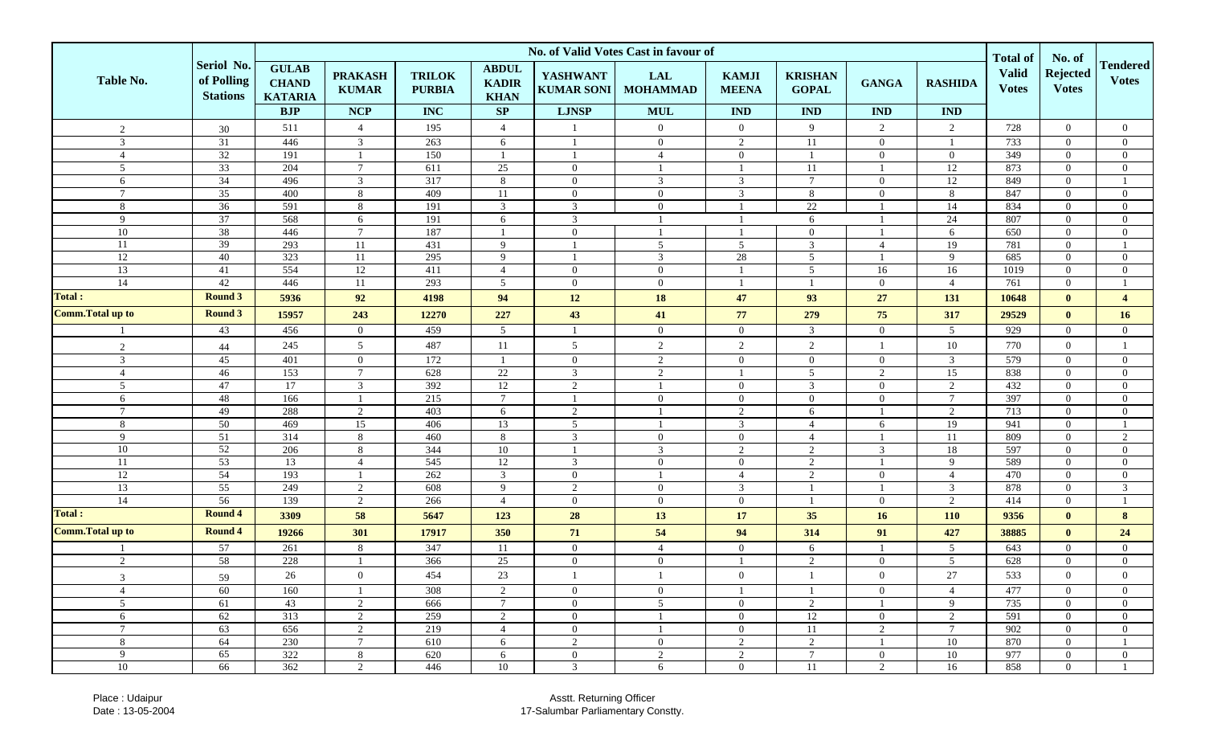|                          |                                             | No. of Valid Votes Cast in favour of           |                                |                                |                                             |                                      |                               |                              |                                |                |                 |                                                 | No. of                          |                                 |
|--------------------------|---------------------------------------------|------------------------------------------------|--------------------------------|--------------------------------|---------------------------------------------|--------------------------------------|-------------------------------|------------------------------|--------------------------------|----------------|-----------------|-------------------------------------------------|---------------------------------|---------------------------------|
| Table No.                | Seriol No.<br>of Polling<br><b>Stations</b> | <b>GULAB</b><br><b>CHAND</b><br><b>KATARIA</b> | <b>PRAKASH</b><br><b>KUMAR</b> | <b>TRILOK</b><br><b>PURBIA</b> | <b>ABDUL</b><br><b>KADIR</b><br><b>KHAN</b> | <b>YASHWANT</b><br><b>KUMAR SONI</b> | <b>LAL</b><br><b>MOHAMMAD</b> | <b>KAMJI</b><br><b>MEENA</b> | <b>KRISHAN</b><br><b>GOPAL</b> | <b>GANGA</b>   | <b>RASHIDA</b>  | <b>Total of</b><br><b>Valid</b><br><b>Votes</b> | <b>Rejected</b><br><b>Votes</b> | <b>Tendered</b><br><b>Votes</b> |
|                          |                                             | <b>BJP</b>                                     | <b>NCP</b>                     | <b>INC</b>                     | SP                                          | <b>LJNSP</b>                         | <b>MUL</b>                    | <b>IND</b>                   | <b>IND</b>                     | <b>IND</b>     | $\mathbf{IND}$  |                                                 |                                 |                                 |
| $\sqrt{2}$               | 30                                          | 511                                            | $\overline{4}$                 | 195                            | $\overline{4}$                              |                                      | $\overline{0}$                | $\overline{0}$               | 9                              | $\overline{2}$ | $\overline{2}$  | 728                                             | $\overline{0}$                  | $\overline{0}$                  |
| 3                        | $\overline{31}$                             | 446                                            | 3                              | 263                            | 6                                           |                                      | $\overline{0}$                | 2                            | <sup>11</sup>                  | $\overline{0}$ |                 | 733                                             | $\Omega$                        | $\overline{0}$                  |
| $\overline{4}$           | 32                                          | 191                                            |                                | 150                            |                                             |                                      | $\overline{4}$                | $\overline{0}$               | $\overline{1}$                 | $\overline{0}$ | $\overline{0}$  | 349                                             | $\overline{0}$                  | $\mathbf{0}$                    |
| 5                        | $\overline{33}$                             | 204                                            | $\overline{7}$                 | 611                            | 25                                          | $\overline{0}$                       | $\overline{1}$                |                              | 11                             |                | 12              | 873                                             | $\overline{0}$                  | $\overline{0}$                  |
| 6                        | $\overline{34}$                             | 496                                            | $\mathbf{3}$                   | 317                            | 8                                           | $\overline{0}$                       | $\overline{3}$                | 3                            | $\overline{7}$                 | $\overline{0}$ | 12              | 849                                             | $\Omega$                        |                                 |
| $\overline{7}$           | $35\,$                                      | 400                                            | 8                              | 409                            | 11                                          | $\overline{0}$                       | $\overline{0}$                | 3                            | 8                              | $\mathbf{0}$   | 8               | 847                                             | $\Omega$                        | $\overline{0}$                  |
| 8                        | $\overline{36}$                             | 591                                            | 8                              | 191                            | 3                                           | 3                                    | $\overline{0}$                |                              | 22                             |                | 14              | 834                                             | $\Omega$                        | $\overline{0}$                  |
| 9                        | $\overline{37}$                             | 568                                            | 6                              | 191                            | 6                                           | $\mathbf{3}$                         | -1                            |                              | 6                              |                | 24              | 807                                             | $\overline{0}$                  | $\overline{0}$                  |
| 10                       | 38                                          | 446                                            | $\mathcal{I}$                  | 187                            |                                             | $\overline{0}$                       |                               |                              | $\mathbf{0}$                   |                | 6               | 650                                             | $\Omega$                        | $\overline{0}$                  |
| 11                       | 39                                          | 293                                            | 11                             | 431                            | 9                                           |                                      | 5                             | 5                            | $\mathfrak{Z}$                 | $\overline{4}$ | 19              | 781                                             | $\overline{0}$                  |                                 |
| 12                       | 40                                          | 323                                            | 11                             | 295                            | 9                                           |                                      | 3                             | 28                           | 5                              |                | 9               | 685                                             | $\Omega$                        | $\overline{0}$                  |
| 13                       | 41                                          | 554                                            | $12\,$                         | 411                            | $\overline{4}$                              | $\overline{0}$                       | $\overline{0}$                |                              | $\mathfrak{S}$                 | 16             | 16              | 1019                                            | $\overline{0}$                  | $\overline{0}$                  |
| 14                       | 42                                          | 446                                            | 11                             | 293                            | 5                                           | $\overline{0}$                       | $\overline{0}$                |                              | $\overline{1}$                 | $\overline{0}$ | $\overline{4}$  | 761                                             | $\overline{0}$                  |                                 |
| Total :                  | <b>Round 3</b>                              | 5936                                           | 92                             | 4198                           | 94                                          | $12\,$                               | 18                            | 47                           | 93                             | 27             | 131             | 10648                                           | $\mathbf{0}$                    | $\overline{4}$                  |
| <b>Comm. Total up to</b> | <b>Round 3</b>                              | 15957                                          | 243                            | 12270                          | 227                                         | 43                                   | 41                            | 77                           | 279                            | 75             | 317             | 29529                                           | $\mathbf{0}$                    | 16                              |
|                          | 43                                          | 456                                            | $\overline{0}$                 | 459                            | 5                                           |                                      | $\overline{0}$                | $\overline{0}$               | $\mathfrak{Z}$                 | $\overline{0}$ | 5 <sup>5</sup>  | 929                                             | $\overline{0}$                  | $\overline{0}$                  |
| 2                        | 44                                          | 245                                            | 5 <sup>5</sup>                 | 487                            | $11\,$                                      | 5                                    | $\overline{2}$                | $\overline{2}$               | $\overline{2}$                 | $\overline{1}$ | 10              | 770                                             | $\overline{0}$                  | $\overline{1}$                  |
| 3                        | 45                                          | 401                                            | $\overline{0}$                 | 172                            |                                             | $\overline{0}$                       | 2                             | $\overline{0}$               | $\mathbf{0}$                   | $\mathbf{0}$   | $\overline{3}$  | 579                                             | $\Omega$                        | $\overline{0}$                  |
| $\overline{4}$           | 46                                          | 153                                            | $\overline{7}$                 | 628                            | 22                                          | $\overline{3}$                       | 2                             |                              | $\sqrt{5}$                     | 2              | 15              | 838                                             | $\Omega$                        | $\overline{0}$                  |
| 5                        | 47                                          | 17                                             | 3                              | 392                            | 12                                          | $\overline{2}$                       | -1                            | $\overline{0}$               | 3                              | $\mathbf{0}$   | $\overline{2}$  | 432                                             | $\Omega$                        | $\overline{0}$                  |
| 6                        | 48                                          | 166                                            |                                | 215                            | $\overline{7}$                              |                                      | $\overline{0}$                | $\overline{0}$               | $\overline{0}$                 | $\overline{0}$ | $\tau$          | 397                                             | $\overline{0}$                  | $\overline{0}$                  |
| $\tau$                   | 49                                          | 288                                            | 2                              | 403                            | 6                                           | $\overline{2}$                       |                               | 2                            | 6                              |                | $\overline{2}$  | 713                                             | $\Omega$                        | $\overline{0}$                  |
| 8                        | 50                                          | 469                                            | 15                             | 406                            | 13                                          | $\overline{5}$                       | $\overline{1}$                | 3                            | $\overline{4}$                 | 6              | 19              | 941                                             | $\overline{0}$                  |                                 |
| 9                        | $\overline{51}$                             | 314                                            | 8                              | 460                            | 8                                           | 3                                    | $\overline{0}$                | $\overline{0}$               | $\overline{4}$                 | -1             | 11              | 809                                             | $\overline{0}$                  | 2                               |
| 10                       | 52                                          | 206                                            | 8                              | 344                            | 10                                          | $\mathbf{1}$                         | $\mathfrak{Z}$                | 2                            | 2                              | 3              | 18              | 597                                             | $\overline{0}$                  | $\overline{0}$                  |
| 11                       | 53                                          | 13                                             | $\overline{4}$                 | 545                            | $\overline{12}$                             | 3                                    | $\overline{0}$                | $\overline{0}$               | 2                              |                | $\mathbf{Q}$    | 589                                             | $\overline{0}$                  | $\overline{0}$                  |
| 12                       | $\overline{54}$                             | 193                                            |                                | 262                            | $\overline{3}$                              | $\overline{0}$                       | $\mathbf{1}$                  | $\overline{4}$               | $\overline{2}$                 | $\overline{0}$ | $\overline{4}$  | 470                                             | $\Omega$                        | $\overline{0}$                  |
| 13                       | $\overline{55}$                             | 249                                            | 2                              | 608                            | 9                                           | $\overline{2}$                       | $\overline{0}$                | 3                            | $\overline{1}$                 |                | 3               | 878                                             | $\overline{0}$                  | 3                               |
| 14                       | 56                                          | 139                                            | 2                              | 266                            | $\overline{4}$                              | $\overline{0}$                       | $\overline{0}$                | $\overline{0}$               | $\overline{1}$                 | $\overline{0}$ | $\overline{2}$  | 414                                             | $\Omega$                        |                                 |
| <b>Total</b> :           | <b>Round 4</b>                              | 3309                                           | 58                             | 5647                           | 123                                         | 28                                   | 13                            | 17                           | 35                             | 16             | 110             | 9356                                            | $\mathbf{0}$                    | 8                               |
| <b>Comm.Total up to</b>  | <b>Round 4</b>                              | 19266                                          | 301                            | 17917                          | 350                                         | 71                                   | 54                            | 94                           | 314                            | 91             | 427             | 38885                                           | $\mathbf{0}$                    | 24                              |
|                          | 57                                          | 261                                            | 8                              | 347                            | 11                                          | $\overline{0}$                       | $\overline{4}$                | $\theta$                     | 6                              |                | 5               | 643                                             | $\Omega$                        | $\overline{0}$                  |
| 2                        | 58                                          | 228                                            |                                | 366                            | 25                                          | $\overline{0}$                       | $\overline{0}$                |                              | $\overline{2}$                 | $\overline{0}$ | $5\overline{)}$ | 628                                             | $\overline{0}$                  | $\overline{0}$                  |
| $\mathcal{L}$            | 59                                          | 26                                             | $\mathbf{0}$                   | 454                            | 23                                          | $\mathbf{1}$                         | $\mathbf{I}$                  | $\overline{0}$               | $\mathbf{1}$                   | $\overline{0}$ | $27\,$          | 533                                             | $\overline{0}$                  | $\mathbf{0}$                    |
| $\overline{4}$           | 60                                          | 160                                            |                                | 308                            | 2                                           | $\Omega$                             | $\overline{0}$                |                              | $\overline{1}$                 | $\overline{0}$ | $\overline{4}$  | 477                                             | $\Omega$                        | $\Omega$                        |
| 5 <sup>5</sup>           | 61                                          | 43                                             | 2                              | 666                            | $7\phantom{.0}$                             | $\overline{0}$                       | 5 <sup>5</sup>                | $\overline{0}$               | 2                              | -1             | 9               | 735                                             | $\overline{0}$                  | $\overline{0}$                  |
| 6                        | 62                                          | 313                                            | 2                              | 259                            | 2                                           | $\overline{0}$                       | -1                            | $\overline{0}$               | <sup>12</sup>                  | $\overline{0}$ | 2               | 591                                             | $\overline{0}$                  | $\overline{0}$                  |
| $7\overline{ }$          | 63                                          | 656                                            | 2                              | 219                            | $\overline{4}$                              | $\overline{0}$                       | 1                             | $\overline{0}$               | 11                             | $\overline{2}$ | $7\overline{ }$ | 902                                             | $\overline{0}$                  | $\overline{0}$                  |
| 8                        | 64                                          | 230                                            | $7\phantom{.0}$                | 610                            | 6                                           | 2                                    | $\overline{0}$                | 2                            | 2                              |                | 10              | 870                                             | $\overline{0}$                  |                                 |
| 9                        | 65                                          | 322                                            | 8                              | 620                            | 6                                           | $\overline{0}$                       | $\overline{2}$                | 2                            | $7\overline{ }$                | $\overline{0}$ | 10              | 977                                             | $\overline{0}$                  | $\overline{0}$                  |
| 10                       | 66                                          | 362                                            | $\overline{2}$                 | 446                            | 10                                          | $\mathfrak{Z}$                       | 6                             | $\overline{0}$               | 11                             | $\overline{2}$ | 16              | 858                                             | $\overline{0}$                  |                                 |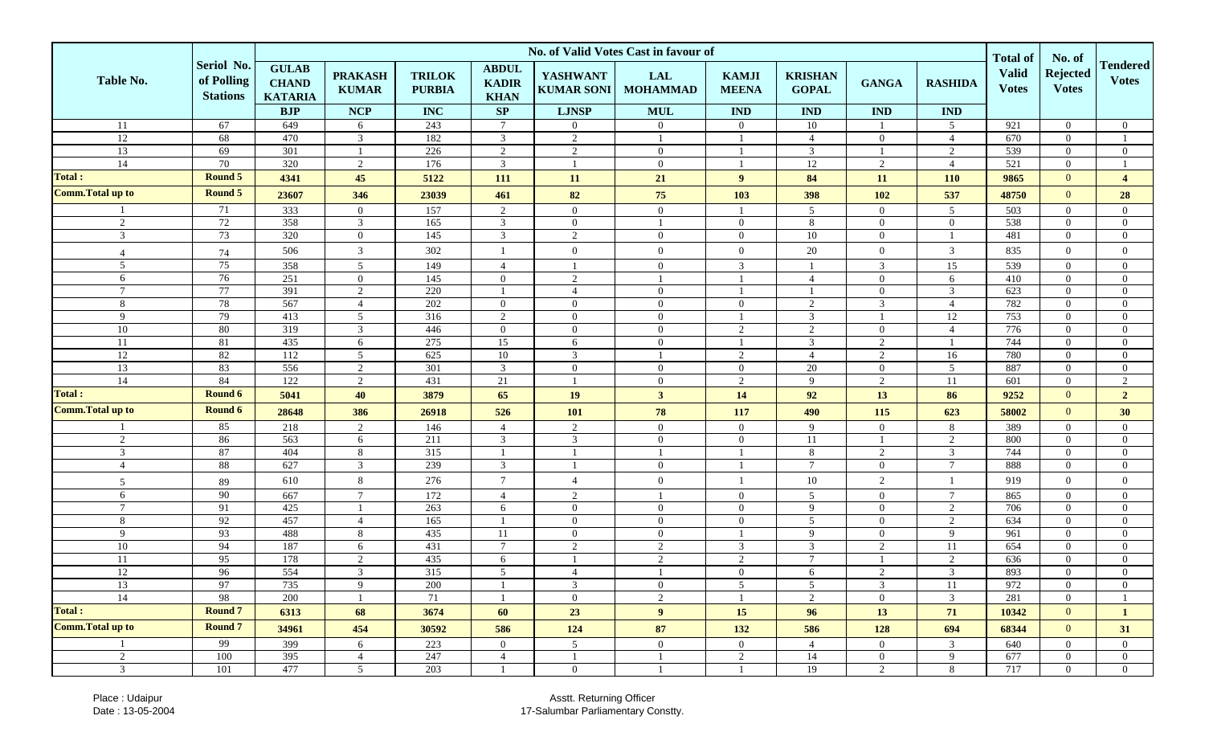|                          |                                             | No. of Valid Votes Cast in favour of           |                                |                                |                                             |                                      |                               |                              |                                |                |                |                                                 | No. of                          |                                  |
|--------------------------|---------------------------------------------|------------------------------------------------|--------------------------------|--------------------------------|---------------------------------------------|--------------------------------------|-------------------------------|------------------------------|--------------------------------|----------------|----------------|-------------------------------------------------|---------------------------------|----------------------------------|
| Table No.                | Seriol No.<br>of Polling<br><b>Stations</b> | <b>GULAB</b><br><b>CHAND</b><br><b>KATARIA</b> | <b>PRAKASH</b><br><b>KUMAR</b> | <b>TRILOK</b><br><b>PURBIA</b> | <b>ABDUL</b><br><b>KADIR</b><br><b>KHAN</b> | <b>YASHWANT</b><br><b>KUMAR SONI</b> | <b>LAL</b><br><b>MOHAMMAD</b> | <b>KAMJI</b><br><b>MEENA</b> | <b>KRISHAN</b><br><b>GOPAL</b> | <b>GANGA</b>   | <b>RASHIDA</b> | <b>Total of</b><br><b>Valid</b><br><b>Votes</b> | <b>Rejected</b><br><b>Votes</b> | <b>Tendered</b><br><b>Votes</b>  |
|                          |                                             | <b>BJP</b>                                     | <b>NCP</b>                     | <b>INC</b>                     | SP                                          | <b>LJNSP</b>                         | <b>MUL</b>                    | IND                          | <b>IND</b>                     | <b>IND</b>     | $\mathbf{IND}$ |                                                 |                                 |                                  |
| 11                       | 67                                          | 649                                            | 6                              | 243                            | $\overline{7}$                              | $\overline{0}$                       | $\overline{0}$                | $\Omega$                     | 10                             |                | 5              | 921                                             | $\Omega$                        | $\mathbf{0}$                     |
| 12                       | 68                                          | 470                                            | $\overline{3}$                 | 182                            | 3                                           | $\overline{2}$                       | $\mathbf{1}$                  |                              | $\overline{4}$                 | $\overline{0}$ | $\overline{4}$ | 670                                             | $\Omega$                        | $\overline{1}$                   |
| 13                       | 69                                          | 301                                            |                                | 226                            | 2                                           | 2                                    | $\mathbf{0}$                  |                              | 3                              |                | 2              | 539                                             | $\overline{0}$                  | $\mathbf{0}$                     |
| 14                       | 70                                          | 320                                            | 2                              | 176                            | 3                                           |                                      | $\overline{0}$                |                              | 12                             | 2              | $\overline{4}$ | 521                                             | $\Omega$                        |                                  |
| <b>Total:</b>            | Round 5                                     | 4341                                           | 45                             | 5122                           | 111                                         | 11                                   | 21                            | 9                            | 84                             | 11             | <b>110</b>     | 9865                                            | $\overline{0}$                  | $\overline{4}$                   |
| Comm. Total up to        | Round 5                                     | 23607                                          | 346                            | 23039                          | 461                                         | 82                                   | 75                            | 103                          | 398                            | <b>102</b>     | 537            | 48750                                           | $\overline{0}$                  | 28                               |
|                          | 71                                          | 333                                            | $\overline{0}$                 | 157                            | 2                                           | $\overline{0}$                       | $\overline{0}$                |                              | $5\overline{)}$                | $\overline{0}$ | 5              | 503                                             | $\Omega$                        | $\overline{0}$                   |
| 2                        | 72                                          | 358                                            | 3                              | 165                            | 3                                           | $\overline{0}$                       | $\mathbf{1}$                  | $\overline{0}$               | 8                              | $\overline{0}$ | $\overline{0}$ | 538                                             | $\overline{0}$                  | $\mathbf{0}$                     |
| 3                        | 73                                          | 320                                            | $\overline{0}$                 | 145                            | 3                                           | 2                                    | $\overline{0}$                | $\overline{0}$               | 10                             | $\overline{0}$ |                | 481                                             | $\overline{0}$                  | $\overline{0}$                   |
| $\overline{4}$           | $74\,$                                      | 506                                            | 3                              | 302                            |                                             | $\overline{0}$                       | $\overline{0}$                | $\overline{0}$               | 20                             | $\mathbf{0}$   | 3              | 835                                             | $\overline{0}$                  | $\overline{0}$                   |
| 5                        | $\overline{75}$                             | 358                                            | $5\overline{)}$                | 149                            | $\overline{4}$                              |                                      | $\overline{0}$                | 3                            | $\overline{1}$                 | 3              | 15             | 539                                             | $\Omega$                        | $\overline{0}$                   |
| 6                        | 76                                          | 251                                            | $\overline{0}$                 | 145                            | $\mathbf{0}$                                | $\overline{2}$                       | $\mathbf{1}$                  |                              | $\overline{4}$                 | $\overline{0}$ | 6              | 410                                             | $\Omega$                        | $\overline{0}$                   |
| $\tau$                   | 77                                          | 391                                            | 2                              | 220                            |                                             | $\overline{4}$                       | $\overline{0}$                |                              | - 1                            | $\overline{0}$ | 3              | 623                                             | $\overline{0}$                  | $\mathbf{0}$                     |
| 8                        | 78                                          | 567                                            | $\overline{4}$                 | 202                            | $\overline{0}$                              | $\overline{0}$                       | $\overline{0}$                | $\theta$                     | 2                              | 3              | $\overline{4}$ | 782                                             | $\Omega$                        | $\overline{0}$                   |
| 9                        | 79                                          | 413                                            | $5\overline{)}$                | 316                            | 2                                           | $\overline{0}$                       | $\overline{0}$                |                              | $\mathfrak{Z}$                 | $\overline{1}$ | 12             | 753                                             | $\overline{0}$                  | $\overline{0}$                   |
| 10                       | 80                                          | 319                                            | 3                              | 446                            | $\theta$                                    | $\overline{0}$                       | $\overline{0}$                | 2                            | $\overline{2}$                 | $\overline{0}$ | $\overline{4}$ | 776                                             | $\overline{0}$                  | $\overline{0}$                   |
| 11                       | 81                                          | 435                                            | 6                              | 275                            | 15                                          | 6                                    | $\overline{0}$                |                              | 3                              | 2              |                | 744                                             | $\Omega$                        | $\overline{0}$                   |
| 12                       | 82                                          | 112                                            | $5\overline{)}$                | 625                            | $10\,$                                      | 3                                    |                               | $\mathcal{D}$                | $\overline{4}$                 | $\sqrt{2}$     | 16             | 780                                             | $\overline{0}$                  | $\overline{0}$                   |
| 13                       | 83                                          | 556                                            | 2                              | 301                            | 3                                           | $\overline{0}$                       | $\overline{0}$                | $\Omega$                     | 20                             | $\overline{0}$ | 5 <sup>5</sup> | 887                                             | $\Omega$                        | $\overline{0}$                   |
| 14                       | 84                                          | 122                                            | 2                              | 431                            | 21                                          | -1                                   | $\overline{0}$                | $\overline{2}$               | 9                              | $\overline{2}$ | 11             | 601                                             | $\overline{0}$                  | $\overline{2}$                   |
| <b>Total:</b>            | Round 6                                     | 5041                                           | 40                             | 3879                           | 65                                          | 19                                   | $\mathbf{3}$                  | 14                           | 92                             | 13             | 86             | 9252                                            | $\Omega$                        | 2 <sub>1</sub>                   |
| <b>Comm. Total up to</b> | Round 6                                     | 28648                                          | 386                            | 26918                          | 526                                         | <b>101</b>                           | 78                            | 117                          | 490                            | 115            | 623            | 58002                                           | $\overline{0}$                  | 30                               |
|                          | 85                                          | 218                                            | 2                              | 146                            | $\overline{4}$                              | 2                                    | $\overline{0}$                | $\overline{0}$               | 9                              | $\mathbf{0}$   | 8              | 389                                             | $\overline{0}$                  | $\overline{0}$                   |
| 2                        | 86                                          | 563                                            | 6                              | 211                            | 3                                           | 3                                    | $\overline{0}$                | $\Omega$                     | <sup>11</sup>                  |                | $\overline{2}$ | 800                                             | $\Omega$                        | $\overline{0}$                   |
| 3                        | 87                                          | 404                                            | 8                              | 315                            |                                             |                                      | -1                            |                              | 8                              | 2              | 3              | 744                                             | $\overline{0}$                  | $\overline{0}$                   |
| $\overline{4}$           | $88\,$                                      | 627                                            | 3                              | 239                            | 3                                           |                                      | $\overline{0}$                |                              | $\overline{7}$                 | $\overline{0}$ | $\tau$         | 888                                             | $\overline{0}$                  | $\overline{0}$                   |
| 5                        | 89                                          | 610                                            | 8                              | 276                            | $\overline{7}$                              | $\overline{4}$                       | $\overline{0}$                |                              | 10                             | $\overline{2}$ |                | 919                                             | $\overline{0}$                  | $\overline{0}$                   |
| 6                        | 90                                          | 667                                            | $\tau$                         | 172                            | $\overline{4}$                              | 2                                    | $\overline{1}$                | $\overline{0}$               | $5\overline{)}$                | $\overline{0}$ | $\tau$         | 865                                             | $\Omega$                        | $\overline{0}$                   |
| $\tau$                   | 91                                          | 425                                            |                                | 263                            | 6                                           | $\overline{0}$                       | $\overline{0}$                | $\theta$                     | 9                              | $\overline{0}$ | $\overline{2}$ | 706                                             | $\Omega$                        | $\theta$                         |
| 8                        | 92                                          | 457                                            | $\overline{4}$                 | 165                            |                                             | $\overline{0}$                       | $\mathbf{0}$                  | $\overline{0}$               | $\overline{5}$                 | $\overline{0}$ | $\overline{2}$ | 634                                             | $\overline{0}$                  | $\overline{0}$                   |
| 9                        | 93                                          | 488                                            | 8                              | 435                            | 11                                          | $\overline{0}$                       | $\overline{0}$                |                              | 9                              | $\overline{0}$ | 9              | 961                                             | $\overline{0}$                  | $\overline{0}$                   |
| 10                       | 94                                          | 187                                            | 6                              | 431                            | $7\phantom{.0}$                             | $\overline{c}$                       | 2                             | 3                            | 3                              | 2              | 11             | 654                                             | $\Omega$                        | $\overline{0}$                   |
| 11                       | 95                                          | 178                                            | $\overline{2}$                 | 435                            | 6                                           |                                      | 2                             | 2                            | $7\overline{ }$                |                | 2              | 636                                             | $\Omega$                        | $\overline{0}$                   |
| 12                       | 96                                          | 554                                            | 3                              | 315                            | $\overline{5}$                              | $\boldsymbol{\vartriangle}$          |                               | $\Omega$                     | 6                              | $\overline{2}$ | 3              | 893                                             | $\Omega$                        | $\Omega$                         |
| 13                       | 97                                          | 735                                            | 9                              | 200                            |                                             | 3                                    | $\overline{0}$                | 5                            | 5                              | 3              | 11             | 972                                             | $\overline{0}$                  | $\overline{0}$<br>$\overline{1}$ |
| 14<br><b>Total:</b>      | 98                                          | 200                                            |                                | 71                             |                                             | $\overline{0}$                       | $\overline{2}$                |                              | 2                              | $\overline{0}$ | $\mathbf{3}$   | 281                                             | $\Omega$                        |                                  |
| Comm. Total up to        | <b>Round 7</b><br><b>Round 7</b>            | 6313                                           | 68                             | 3674                           | 60                                          | 23                                   | 9 <sup>°</sup>                | 15                           | 96                             | 13             | 71             | 10342                                           | $\overline{0}$                  | $\mathbf{1}$                     |
|                          |                                             | 34961                                          | 454                            | 30592                          | 586                                         | 124                                  | 87                            | 132                          | 586                            | 128            | 694            | 68344                                           | $\mathbf{0}$                    | 31                               |
|                          | 99                                          | 399                                            | 6                              | 223                            | $\overline{0}$                              | $\overline{5}$                       | $\overline{0}$                | $\overline{0}$               | $\overline{4}$                 | $\overline{0}$ | $\mathbf{3}$   | 640                                             | $\overline{0}$                  | $\overline{0}$                   |
| $\overline{2}$           | 100                                         | 395                                            | $\overline{4}$                 | 247                            | $\overline{4}$                              | -1                                   | -1                            | $\overline{2}$               | 14                             | $\overline{0}$ | 9              | 677                                             | $\overline{0}$                  | $\overline{0}$                   |
| $\mathfrak{Z}$           | 101                                         | 477                                            | $5\overline{)}$                | 203                            |                                             | $\overline{0}$                       |                               |                              | 19                             | 2              | 8              | 717                                             | $\Omega$                        | $\overline{0}$                   |